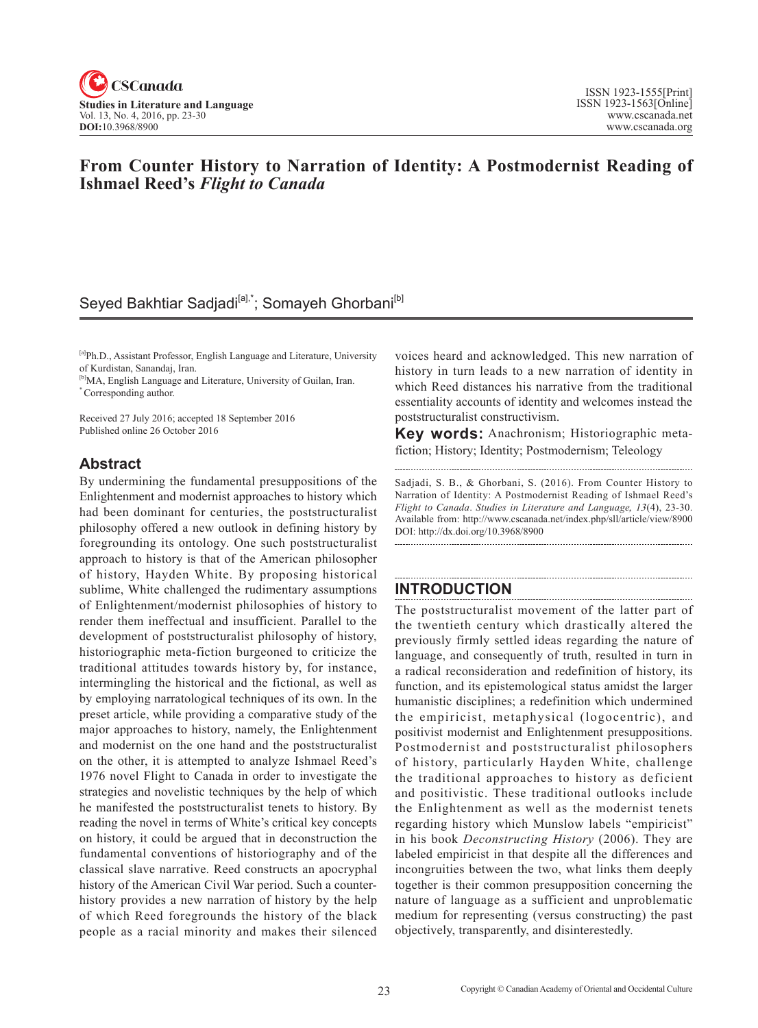

# **From Counter History to Narration of Identity: A Postmodernist Reading of Ishmael Reed's** *Flight to Canada*

# Seyed Bakhtiar Sadjadi<sup>[a],\*</sup>; Somayeh Ghorbani<sup>[b]</sup>

[a]Ph.D., Assistant Professor, English Language and Literature, University of Kurdistan, Sanandaj, Iran.

[b]MA, English Language and Literature, University of Guilan, Iran. \* Corresponding author.

Received 27 July 2016; accepted 18 September 2016 Published online 26 October 2016

## **Abstract**

By undermining the fundamental presuppositions of the Enlightenment and modernist approaches to history which had been dominant for centuries, the poststructuralist philosophy offered a new outlook in defining history by foregrounding its ontology. One such poststructuralist approach to history is that of the American philosopher of history, Hayden White. By proposing historical sublime, White challenged the rudimentary assumptions of Enlightenment/modernist philosophies of history to render them ineffectual and insufficient. Parallel to the development of poststructuralist philosophy of history, historiographic meta-fiction burgeoned to criticize the traditional attitudes towards history by, for instance, intermingling the historical and the fictional, as well as by employing narratological techniques of its own. In the preset article, while providing a comparative study of the major approaches to history, namely, the Enlightenment and modernist on the one hand and the poststructuralist on the other, it is attempted to analyze Ishmael Reed's 1976 novel Flight to Canada in order to investigate the strategies and novelistic techniques by the help of which he manifested the poststructuralist tenets to history. By reading the novel in terms of White's critical key concepts on history, it could be argued that in deconstruction the fundamental conventions of historiography and of the classical slave narrative. Reed constructs an apocryphal history of the American Civil War period. Such a counterhistory provides a new narration of history by the help of which Reed foregrounds the history of the black people as a racial minority and makes their silenced

voices heard and acknowledged. This new narration of history in turn leads to a new narration of identity in which Reed distances his narrative from the traditional essentiality accounts of identity and welcomes instead the poststructuralist constructivism.

**Key words:** Anachronism; Historiographic metafiction; History; Identity; Postmodernism; Teleology

Sadjadi, S. B., & Ghorbani, S. (2016). From Counter History to Narration of Identity: A Postmodernist Reading of Ishmael Reed's *Flight to Canada*. *Studies in Literature and Language*, <sup>13</sup>(4), 23-30. Available from: http://www.cscanada.net/index.php/sll/article/view/8900 DOI: http://dx.doi.org/10.3968/8900

# **INTRODUCTION**

The poststructuralist movement of the latter part of the twentieth century which drastically altered the previously firmly settled ideas regarding the nature of language, and consequently of truth, resulted in turn in a radical reconsideration and redefinition of history, its function, and its epistemological status amidst the larger humanistic disciplines; a redefinition which undermined the empiricist, metaphysical (logocentric), and positivist modernist and Enlightenment presuppositions. Postmodernist and poststructuralist philosophers of history, particularly Hayden White, challenge the traditional approaches to history as deficient and positivistic. These traditional outlooks include the Enlightenment as well as the modernist tenets regarding history which Munslow labels "empiricist" in his book *Deconstructing History* (2006). They are labeled empiricist in that despite all the differences and incongruities between the two, what links them deeply together is their common presupposition concerning the nature of language as a sufficient and unproblematic medium for representing (versus constructing) the past objectively, transparently, and disinterestedly.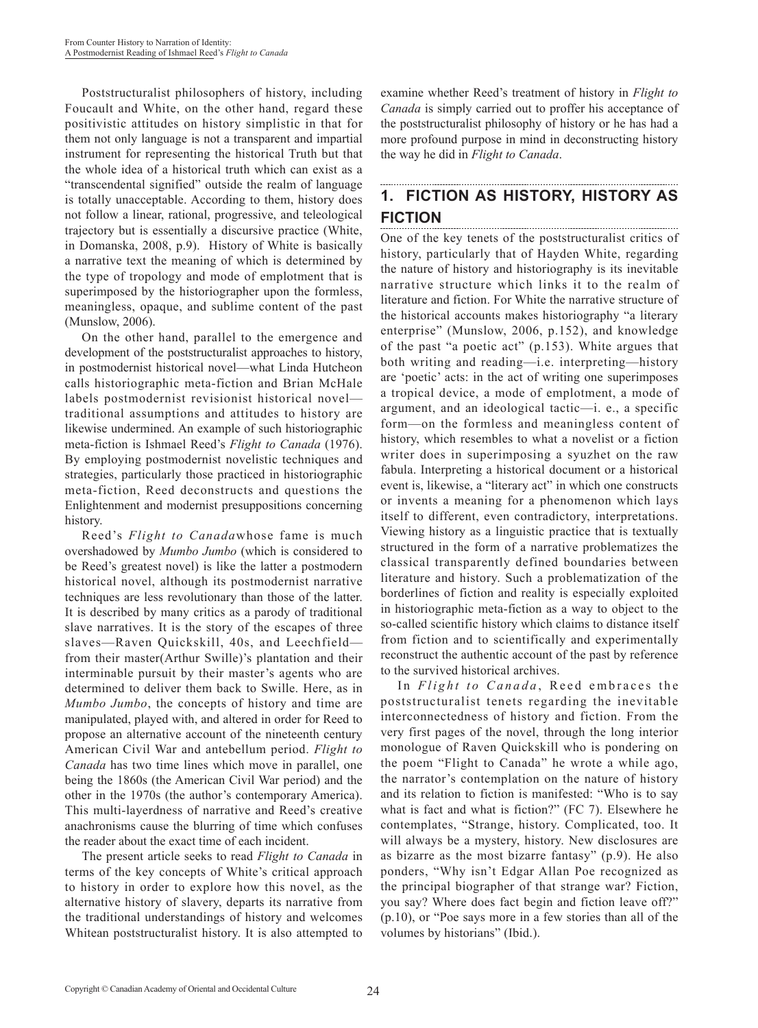Poststructuralist philosophers of history, including Foucault and White, on the other hand, regard these positivistic attitudes on history simplistic in that for them not only language is not a transparent and impartial instrument for representing the historical Truth but that the whole idea of a historical truth which can exist as a "transcendental signified" outside the realm of language is totally unacceptable. According to them, history does not follow a linear, rational, progressive, and teleological trajectory but is essentially a discursive practice (White, in Domanska, 2008, p.9). History of White is basically a narrative text the meaning of which is determined by the type of tropology and mode of emplotment that is superimposed by the historiographer upon the formless, meaningless, opaque, and sublime content of the past (Munslow, 2006).

On the other hand, parallel to the emergence and development of the poststructuralist approaches to history, in postmodernist historical novel—what Linda Hutcheon calls historiographic meta-fiction and Brian McHale labels postmodernist revisionist historical novel traditional assumptions and attitudes to history are likewise undermined. An example of such historiographic meta-fiction is Ishmael Reed's *Flight to Canada* (1976). By employing postmodernist novelistic techniques and strategies, particularly those practiced in historiographic meta-fiction, Reed deconstructs and questions the Enlightenment and modernist presuppositions concerning history.

Reed's *Flight to Canada*whose fame is much overshadowed by *Mumbo Jumbo* (which is considered to be Reed's greatest novel) is like the latter a postmodern historical novel, although its postmodernist narrative techniques are less revolutionary than those of the latter. It is described by many critics as a parody of traditional slave narratives. It is the story of the escapes of three slaves—Raven Quickskill, 40s, and Leechfield from their master(Arthur Swille)'s plantation and their interminable pursuit by their master's agents who are determined to deliver them back to Swille. Here, as in *Mumbo Jumbo*, the concepts of history and time are manipulated, played with, and altered in order for Reed to propose an alternative account of the nineteenth century American Civil War and antebellum period. *Flight to Canada* has two time lines which move in parallel, one being the 1860s (the American Civil War period) and the other in the 1970s (the author's contemporary America). This multi-layerdness of narrative and Reed's creative anachronisms cause the blurring of time which confuses the reader about the exact time of each incident.

The present article seeks to read *Flight to Canada* in terms of the key concepts of White's critical approach to history in order to explore how this novel, as the alternative history of slavery, departs its narrative from the traditional understandings of history and welcomes Whitean poststructuralist history. It is also attempted to

examine whether Reed's treatment of history in *Flight to Canada* is simply carried out to proffer his acceptance of the poststructuralist philosophy of history or he has had a more profound purpose in mind in deconstructing history the way he did in *Flight to Canada*.

### **1. FICTION AS HISTORY, HISTORY AS FICTION**

One of the key tenets of the poststructuralist critics of history, particularly that of Hayden White, regarding the nature of history and historiography is its inevitable narrative structure which links it to the realm of literature and fiction. For White the narrative structure of the historical accounts makes historiography "a literary enterprise" (Munslow, 2006, p.152), and knowledge of the past "a poetic act" (p.153). White argues that both writing and reading—i.e. interpreting—history are 'poetic' acts: in the act of writing one superimposes a tropical device, a mode of emplotment, a mode of argument, and an ideological tactic—i. e., a specific form—on the formless and meaningless content of history, which resembles to what a novelist or a fiction writer does in superimposing a syuzhet on the raw fabula. Interpreting a historical document or a historical event is, likewise, a "literary act" in which one constructs or invents a meaning for a phenomenon which lays itself to different, even contradictory, interpretations. Viewing history as a linguistic practice that is textually structured in the form of a narrative problematizes the classical transparently defined boundaries between literature and history. Such a problematization of the borderlines of fiction and reality is especially exploited in historiographic meta-fiction as a way to object to the so-called scientific history which claims to distance itself from fiction and to scientifically and experimentally reconstruct the authentic account of the past by reference to the survived historical archives.

In *Flight to Canada*, Reed embraces the poststructuralist tenets regarding the inevitable interconnectedness of history and fiction. From the very first pages of the novel, through the long interior monologue of Raven Quickskill who is pondering on the poem "Flight to Canada" he wrote a while ago, the narrator's contemplation on the nature of history and its relation to fiction is manifested: "Who is to say what is fact and what is fiction?" (FC 7). Elsewhere he contemplates, "Strange, history. Complicated, too. It will always be a mystery, history. New disclosures are as bizarre as the most bizarre fantasy" (p.9). He also ponders, "Why isn't Edgar Allan Poe recognized as the principal biographer of that strange war? Fiction, you say? Where does fact begin and fiction leave off?" (p.10), or "Poe says more in a few stories than all of the volumes by historians" (Ibid.).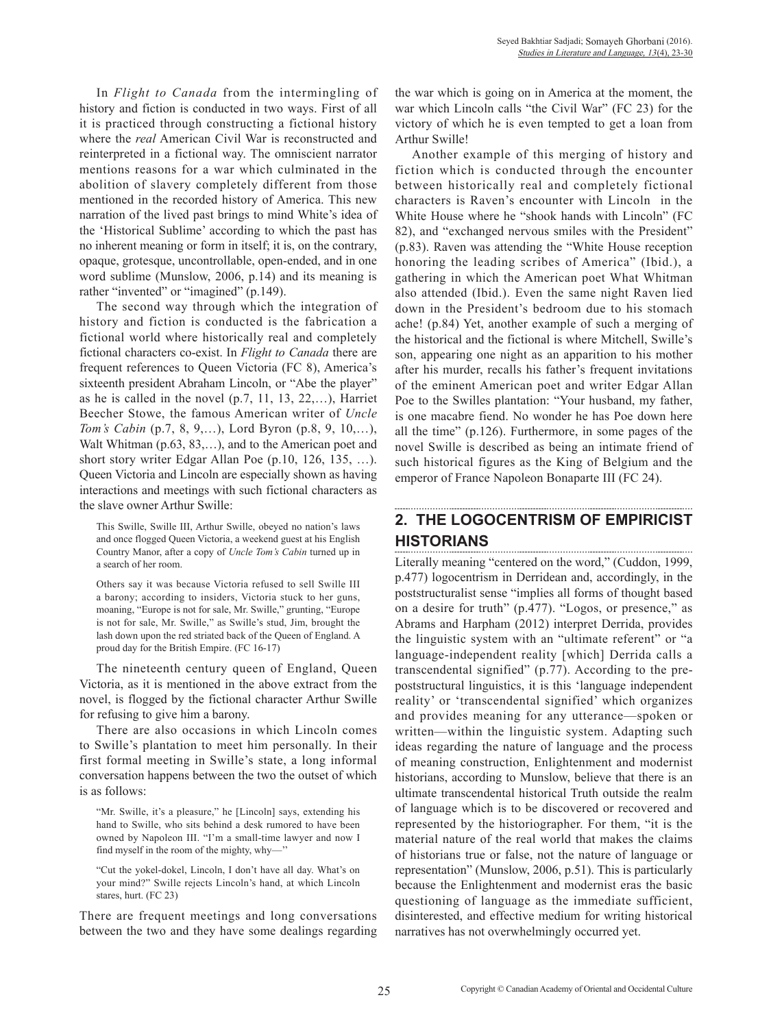In *Flight to Canada* from the intermingling of history and fiction is conducted in two ways. First of all it is practiced through constructing a fictional history where the *real* American Civil War is reconstructed and reinterpreted in a fictional way. The omniscient narrator mentions reasons for a war which culminated in the abolition of slavery completely different from those mentioned in the recorded history of America. This new narration of the lived past brings to mind White's idea of the 'Historical Sublime' according to which the past has no inherent meaning or form in itself; it is, on the contrary, opaque, grotesque, uncontrollable, open-ended, and in one word sublime (Munslow, 2006, p.14) and its meaning is rather "invented" or "imagined" (p.149).

The second way through which the integration of history and fiction is conducted is the fabrication a fictional world where historically real and completely fictional characters co-exist. In *Flight to Canada* there are frequent references to Queen Victoria (FC 8), America's sixteenth president Abraham Lincoln, or "Abe the player" as he is called in the novel (p.7, 11, 13, 22,…), Harriet Beecher Stowe, the famous American writer of *Uncle Tom's Cabin* (p.7, 8, 9,…), Lord Byron (p.8, 9, 10,…), Walt Whitman (p.63, 83,...), and to the American poet and short story writer Edgar Allan Poe (p.10, 126, 135, …). Queen Victoria and Lincoln are especially shown as having interactions and meetings with such fictional characters as the slave owner Arthur Swille:

This Swille, Swille III, Arthur Swille, obeyed no nation's laws and once flogged Queen Victoria, a weekend guest at his English Country Manor, after a copy of *Uncle Tom's Cabin* turned up in a search of her room.

Others say it was because Victoria refused to sell Swille III a barony; according to insiders, Victoria stuck to her guns, moaning, "Europe is not for sale, Mr. Swille," grunting, "Europe is not for sale, Mr. Swille," as Swille's stud, Jim, brought the lash down upon the red striated back of the Queen of England. A proud day for the British Empire. (FC 16-17)

The nineteenth century queen of England, Queen Victoria, as it is mentioned in the above extract from the novel, is flogged by the fictional character Arthur Swille for refusing to give him a barony.

There are also occasions in which Lincoln comes to Swille's plantation to meet him personally. In their first formal meeting in Swille's state, a long informal conversation happens between the two the outset of which is as follows:

"Mr. Swille, it's a pleasure," he [Lincoln] says, extending his hand to Swille, who sits behind a desk rumored to have been owned by Napoleon III. "I'm a small-time lawyer and now I find myself in the room of the mighty, why-

"Cut the yokel-dokel, Lincoln, I don't have all day. What's on your mind?" Swille rejects Lincoln's hand, at which Lincoln stares, hurt. (FC 23)

There are frequent meetings and long conversations between the two and they have some dealings regarding the war which is going on in America at the moment, the war which Lincoln calls "the Civil War" (FC 23) for the victory of which he is even tempted to get a loan from Arthur Swille!

Another example of this merging of history and fiction which is conducted through the encounter between historically real and completely fictional characters is Raven's encounter with Lincoln in the White House where he "shook hands with Lincoln" (FC 82), and "exchanged nervous smiles with the President" (p.83). Raven was attending the "White House reception honoring the leading scribes of America" (Ibid.), a gathering in which the American poet What Whitman also attended (Ibid.). Even the same night Raven lied down in the President's bedroom due to his stomach ache! (p.84) Yet, another example of such a merging of the historical and the fictional is where Mitchell, Swille's son, appearing one night as an apparition to his mother after his murder, recalls his father's frequent invitations of the eminent American poet and writer Edgar Allan Poe to the Swilles plantation: "Your husband, my father, is one macabre fiend. No wonder he has Poe down here all the time" (p.126). Furthermore, in some pages of the novel Swille is described as being an intimate friend of such historical figures as the King of Belgium and the emperor of France Napoleon Bonaparte III (FC 24).

#### **2. THE LOGOCENTRISM OF EMPIRICIST HISTORIANS**

Literally meaning "centered on the word," (Cuddon, 1999, p.477) logocentrism in Derridean and, accordingly, in the poststructuralist sense "implies all forms of thought based on a desire for truth" (p.477). "Logos, or presence," as Abrams and Harpham (2012) interpret Derrida, provides the linguistic system with an "ultimate referent" or "a language-independent reality [which] Derrida calls a transcendental signified" (p.77). According to the prepoststructural linguistics, it is this 'language independent reality' or 'transcendental signified' which organizes and provides meaning for any utterance—spoken or written—within the linguistic system. Adapting such ideas regarding the nature of language and the process of meaning construction, Enlightenment and modernist historians, according to Munslow, believe that there is an ultimate transcendental historical Truth outside the realm of language which is to be discovered or recovered and represented by the historiographer. For them, "it is the material nature of the real world that makes the claims of historians true or false, not the nature of language or representation" (Munslow, 2006, p.51). This is particularly because the Enlightenment and modernist eras the basic questioning of language as the immediate sufficient, disinterested, and effective medium for writing historical narratives has not overwhelmingly occurred yet.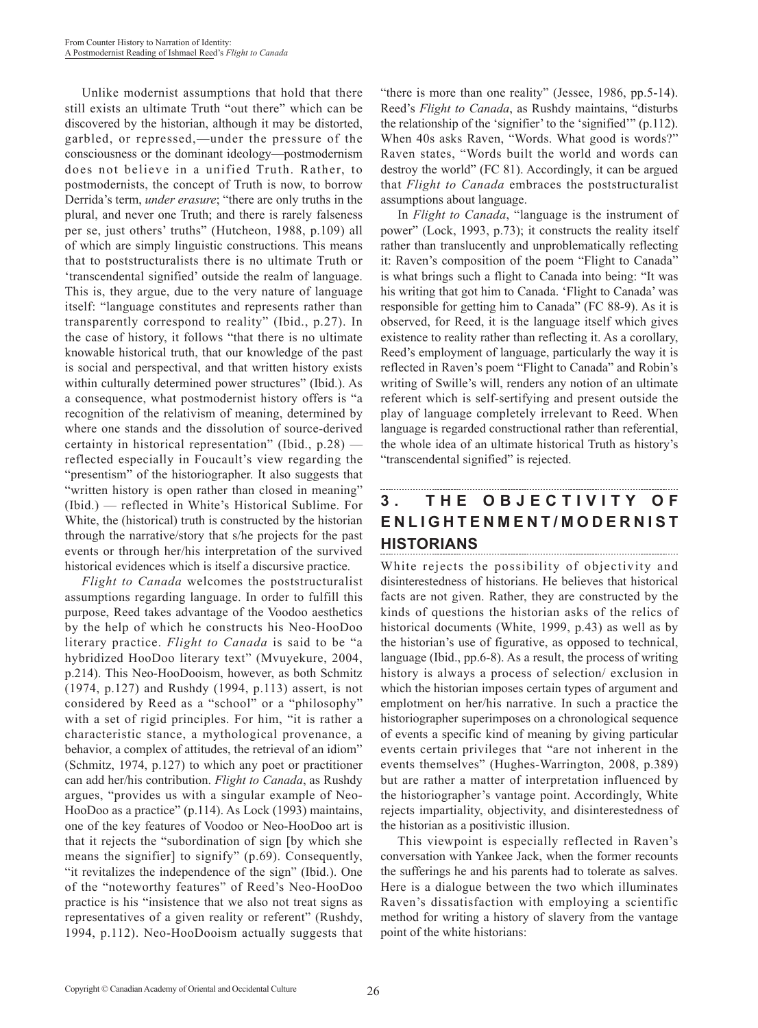Unlike modernist assumptions that hold that there still exists an ultimate Truth "out there" which can be discovered by the historian, although it may be distorted, garbled, or repressed,—under the pressure of the consciousness or the dominant ideology—postmodernism does not believe in a unified Truth. Rather, to postmodernists, the concept of Truth is now, to borrow Derrida's term, *under erasure*; "there are only truths in the plural, and never one Truth; and there is rarely falseness per se, just others' truths" (Hutcheon, 1988, p.109) all of which are simply linguistic constructions. This means that to poststructuralists there is no ultimate Truth or 'transcendental signified' outside the realm of language. This is, they argue, due to the very nature of language itself: "language constitutes and represents rather than transparently correspond to reality" (Ibid., p.27). In the case of history, it follows "that there is no ultimate knowable historical truth, that our knowledge of the past is social and perspectival, and that written history exists within culturally determined power structures" (Ibid.). As a consequence, what postmodernist history offers is "a recognition of the relativism of meaning, determined by where one stands and the dissolution of source-derived certainty in historical representation" (Ibid., p.28) reflected especially in Foucault's view regarding the "presentism" of the historiographer. It also suggests that "written history is open rather than closed in meaning" (Ibid.) — reflected in White's Historical Sublime. For White, the (historical) truth is constructed by the historian through the narrative/story that s/he projects for the past events or through her/his interpretation of the survived historical evidences which is itself a discursive practice.

*Flight to Canada* welcomes the poststructuralist assumptions regarding language. In order to fulfill this purpose, Reed takes advantage of the Voodoo aesthetics by the help of which he constructs his Neo-HooDoo literary practice. *Flight to Canada* is said to be "a hybridized HooDoo literary text" (Mvuyekure, 2004, p.214). This Neo-HooDooism, however, as both Schmitz (1974, p.127) and Rushdy (1994, p.113) assert, is not considered by Reed as a "school" or a "philosophy" with a set of rigid principles. For him, "it is rather a characteristic stance, a mythological provenance, a behavior, a complex of attitudes, the retrieval of an idiom" (Schmitz, 1974, p.127) to which any poet or practitioner can add her/his contribution. *Flight to Canada*, as Rushdy argues, "provides us with a singular example of Neo-HooDoo as a practice" (p.114). As Lock (1993) maintains, one of the key features of Voodoo or Neo-HooDoo art is that it rejects the "subordination of sign [by which she means the signifier] to signify" (p.69). Consequently, "it revitalizes the independence of the sign" (Ibid.). One of the "noteworthy features" of Reed's Neo-HooDoo practice is his "insistence that we also not treat signs as representatives of a given reality or referent" (Rushdy, 1994, p.112). Neo-HooDooism actually suggests that "there is more than one reality" (Jessee, 1986, pp.5-14). Reed's *Flight to Canada*, as Rushdy maintains, "disturbs the relationship of the 'signifier' to the 'signified'" (p.112). When 40s asks Raven, "Words. What good is words?" Raven states, "Words built the world and words can destroy the world" (FC 81). Accordingly, it can be argued that *Flight to Canada* embraces the poststructuralist assumptions about language.

In *Flight to Canada*, "language is the instrument of power" (Lock, 1993, p.73); it constructs the reality itself rather than translucently and unproblematically reflecting it: Raven's composition of the poem "Flight to Canada" is what brings such a flight to Canada into being: "It was his writing that got him to Canada. 'Flight to Canada' was responsible for getting him to Canada" (FC 88-9). As it is observed, for Reed, it is the language itself which gives existence to reality rather than reflecting it. As a corollary, Reed's employment of language, particularly the way it is reflected in Raven's poem "Flight to Canada" and Robin's writing of Swille's will, renders any notion of an ultimate referent which is self-sertifying and present outside the play of language completely irrelevant to Reed. When language is regarded constructional rather than referential, the whole idea of an ultimate historical Truth as history's "transcendental signified" is rejected.

### **3 . T H E O B J E C T I V I T Y O F E N L I G H T E N M E N T / M O D E R N I S T HISTORIANS**

White rejects the possibility of objectivity and disinterestedness of historians. He believes that historical facts are not given. Rather, they are constructed by the kinds of questions the historian asks of the relics of historical documents (White, 1999, p.43) as well as by the historian's use of figurative, as opposed to technical, language (Ibid., pp.6-8). As a result, the process of writing history is always a process of selection/ exclusion in which the historian imposes certain types of argument and emplotment on her/his narrative. In such a practice the historiographer superimposes on a chronological sequence of events a specific kind of meaning by giving particular events certain privileges that "are not inherent in the events themselves" (Hughes-Warrington, 2008, p.389) but are rather a matter of interpretation influenced by the historiographer's vantage point. Accordingly, White rejects impartiality, objectivity, and disinterestedness of the historian as a positivistic illusion.

This viewpoint is especially reflected in Raven's conversation with Yankee Jack, when the former recounts the sufferings he and his parents had to tolerate as salves. Here is a dialogue between the two which illuminates Raven's dissatisfaction with employing a scientific method for writing a history of slavery from the vantage point of the white historians: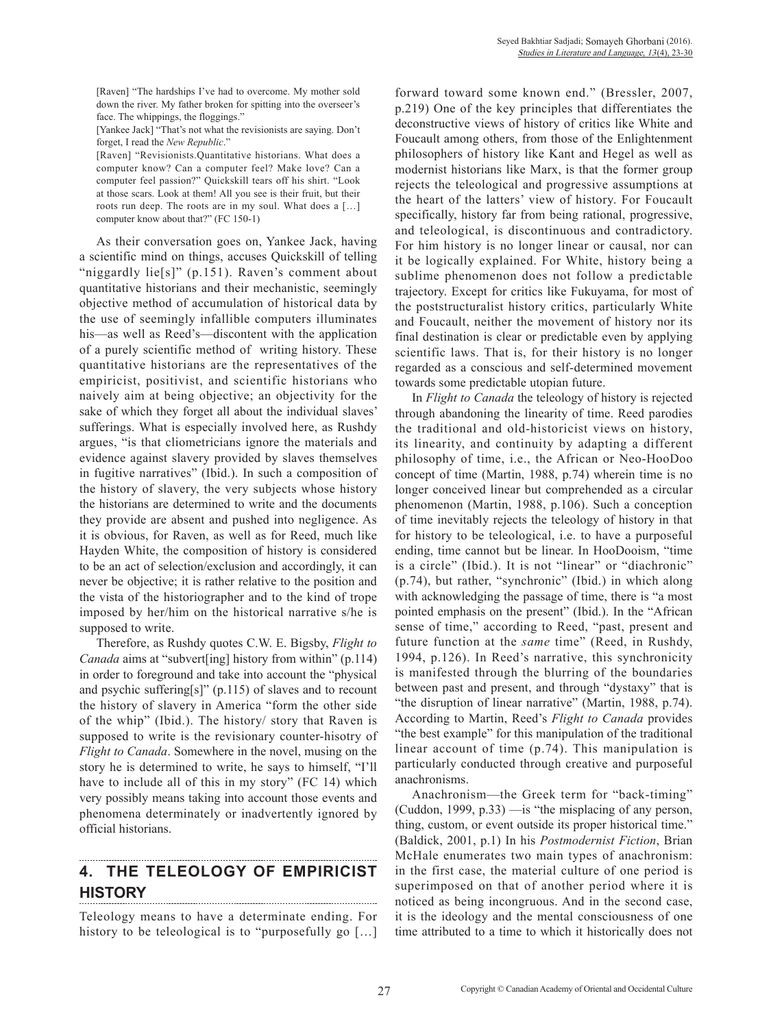[Raven] "The hardships I've had to overcome. My mother sold down the river. My father broken for spitting into the overseer's face. The whippings, the floggings."

[Yankee Jack] "That's not what the revisionists are saying. Don't forget, I read the *New Republic*."

[Raven] "Revisionists.Quantitative historians. What does a computer know? Can a computer feel? Make love? Can a computer feel passion?" Quickskill tears off his shirt. "Look at those scars. Look at them! All you see is their fruit, but their roots run deep. The roots are in my soul. What does a […] computer know about that?" (FC 150-1)

As their conversation goes on, Yankee Jack, having a scientific mind on things, accuses Quickskill of telling "niggardly lie[s]" (p.151). Raven's comment about quantitative historians and their mechanistic, seemingly objective method of accumulation of historical data by the use of seemingly infallible computers illuminates his—as well as Reed's—discontent with the application of a purely scientific method of writing history. These quantitative historians are the representatives of the empiricist, positivist, and scientific historians who naively aim at being objective; an objectivity for the sake of which they forget all about the individual slaves' sufferings. What is especially involved here, as Rushdy argues, "is that cliometricians ignore the materials and evidence against slavery provided by slaves themselves in fugitive narratives" (Ibid.). In such a composition of the history of slavery, the very subjects whose history the historians are determined to write and the documents they provide are absent and pushed into negligence. As it is obvious, for Raven, as well as for Reed, much like Hayden White, the composition of history is considered to be an act of selection/exclusion and accordingly, it can never be objective; it is rather relative to the position and the vista of the historiographer and to the kind of trope imposed by her/him on the historical narrative s/he is supposed to write.

Therefore, as Rushdy quotes C.W. E. Bigsby, *Flight to Canada* aims at "subvert[ing] history from within" (p.114) in order to foreground and take into account the "physical and psychic suffering[s]" (p.115) of slaves and to recount the history of slavery in America "form the other side of the whip" (Ibid.). The history/ story that Raven is supposed to write is the revisionary counter-hisotry of *Flight to Canada*. Somewhere in the novel, musing on the story he is determined to write, he says to himself, "I'll have to include all of this in my story" (FC 14) which very possibly means taking into account those events and phenomena determinately or inadvertently ignored by official historians.

### **4. THE TELEOLOGY OF EMPIRICIST HISTORY**

Teleology means to have a determinate ending. For history to be teleological is to "purposefully go [...]

forward toward some known end." (Bressler, 2007, p.219) One of the key principles that differentiates the deconstructive views of history of critics like White and Foucault among others, from those of the Enlightenment philosophers of history like Kant and Hegel as well as modernist historians like Marx, is that the former group rejects the teleological and progressive assumptions at the heart of the latters' view of history. For Foucault specifically, history far from being rational, progressive, and teleological, is discontinuous and contradictory. For him history is no longer linear or causal, nor can it be logically explained. For White, history being a sublime phenomenon does not follow a predictable trajectory. Except for critics like Fukuyama, for most of the poststructuralist history critics, particularly White and Foucault, neither the movement of history nor its final destination is clear or predictable even by applying scientific laws. That is, for their history is no longer regarded as a conscious and self-determined movement towards some predictable utopian future.

In *Flight to Canada* the teleology of history is rejected through abandoning the linearity of time. Reed parodies the traditional and old-historicist views on history, its linearity, and continuity by adapting a different philosophy of time, i.e., the African or Neo-HooDoo concept of time (Martin, 1988, p.74) wherein time is no longer conceived linear but comprehended as a circular phenomenon (Martin, 1988, p.106). Such a conception of time inevitably rejects the teleology of history in that for history to be teleological, i.e. to have a purposeful ending, time cannot but be linear. In HooDooism, "time is a circle" (Ibid.). It is not "linear" or "diachronic" (p.74), but rather, "synchronic" (Ibid.) in which along with acknowledging the passage of time, there is "a most pointed emphasis on the present" (Ibid.). In the "African sense of time," according to Reed, "past, present and future function at the *same* time" (Reed, in Rushdy, 1994, p.126). In Reed's narrative, this synchronicity is manifested through the blurring of the boundaries between past and present, and through "dystaxy" that is "the disruption of linear narrative" (Martin, 1988, p.74). According to Martin, Reed's *Flight to Canada* provides "the best example" for this manipulation of the traditional linear account of time (p.74). This manipulation is particularly conducted through creative and purposeful anachronisms.

Anachronism—the Greek term for "back-timing" (Cuddon, 1999, p.33) —is "the misplacing of any person, thing, custom, or event outside its proper historical time." (Baldick, 2001, p.1) In his *Postmodernist Fiction*, Brian McHale enumerates two main types of anachronism: in the first case, the material culture of one period is superimposed on that of another period where it is noticed as being incongruous. And in the second case, it is the ideology and the mental consciousness of one time attributed to a time to which it historically does not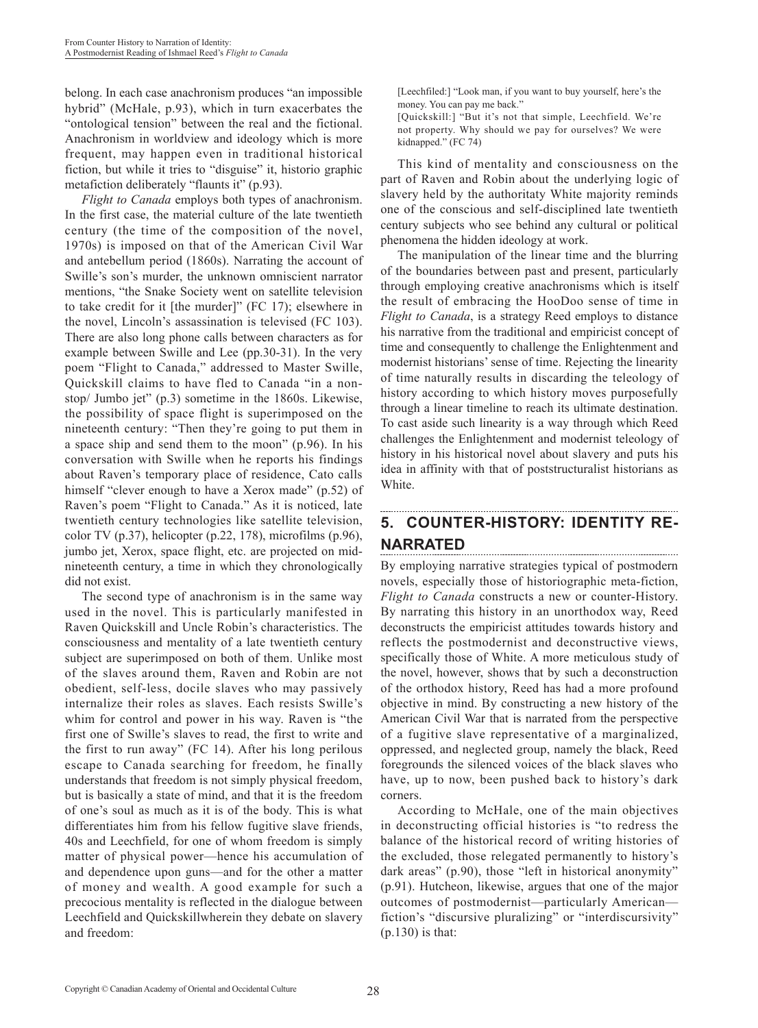belong. In each case anachronism produces "an impossible hybrid" (McHale, p.93), which in turn exacerbates the "ontological tension" between the real and the fictional. Anachronism in worldview and ideology which is more frequent, may happen even in traditional historical fiction, but while it tries to "disguise" it, historio graphic metafiction deliberately "flaunts it" (p.93).

*Flight to Canada* employs both types of anachronism. In the first case, the material culture of the late twentieth century (the time of the composition of the novel, 1970s) is imposed on that of the American Civil War and antebellum period (1860s). Narrating the account of Swille's son's murder, the unknown omniscient narrator mentions, "the Snake Society went on satellite television to take credit for it [the murder]" (FC 17); elsewhere in the novel, Lincoln's assassination is televised (FC 103). There are also long phone calls between characters as for example between Swille and Lee (pp.30-31). In the very poem "Flight to Canada," addressed to Master Swille, Quickskill claims to have fled to Canada "in a nonstop/ Jumbo jet" (p.3) sometime in the 1860s. Likewise, the possibility of space flight is superimposed on the nineteenth century: "Then they're going to put them in a space ship and send them to the moon" (p.96). In his conversation with Swille when he reports his findings about Raven's temporary place of residence, Cato calls himself "clever enough to have a Xerox made" (p.52) of Raven's poem "Flight to Canada." As it is noticed, late twentieth century technologies like satellite television, color TV (p.37), helicopter (p.22, 178), microfilms (p.96), jumbo jet, Xerox, space flight, etc. are projected on midnineteenth century, a time in which they chronologically did not exist.

The second type of anachronism is in the same way used in the novel. This is particularly manifested in Raven Quickskill and Uncle Robin's characteristics. The consciousness and mentality of a late twentieth century subject are superimposed on both of them. Unlike most of the slaves around them, Raven and Robin are not obedient, self-less, docile slaves who may passively internalize their roles as slaves. Each resists Swille's whim for control and power in his way. Raven is "the first one of Swille's slaves to read, the first to write and the first to run away" (FC 14). After his long perilous escape to Canada searching for freedom, he finally understands that freedom is not simply physical freedom, but is basically a state of mind, and that it is the freedom of one's soul as much as it is of the body. This is what differentiates him from his fellow fugitive slave friends, 40s and Leechfield, for one of whom freedom is simply matter of physical power—hence his accumulation of and dependence upon guns—and for the other a matter of money and wealth. A good example for such a precocious mentality is reflected in the dialogue between Leechfield and Quickskillwherein they debate on slavery and freedom:

[Leechfiled:] "Look man, if you want to buy yourself, here's the money. You can pay me back."

[Quickskill:] "But it's not that simple, Leechfield. We're not property. Why should we pay for ourselves? We were kidnapped." (FC 74)

This kind of mentality and consciousness on the part of Raven and Robin about the underlying logic of slavery held by the authoritaty White majority reminds one of the conscious and self-disciplined late twentieth century subjects who see behind any cultural or political phenomena the hidden ideology at work.

The manipulation of the linear time and the blurring of the boundaries between past and present, particularly through employing creative anachronisms which is itself the result of embracing the HooDoo sense of time in *Flight to Canada*, is a strategy Reed employs to distance his narrative from the traditional and empiricist concept of time and consequently to challenge the Enlightenment and modernist historians' sense of time. Rejecting the linearity of time naturally results in discarding the teleology of history according to which history moves purposefully through a linear timeline to reach its ultimate destination. To cast aside such linearity is a way through which Reed challenges the Enlightenment and modernist teleology of history in his historical novel about slavery and puts his idea in affinity with that of poststructuralist historians as White.

### **5. COUNTER-HISTORY: IDENTITY RE-NARRATED**

By employing narrative strategies typical of postmodern novels, especially those of historiographic meta-fiction, *Flight to Canada* constructs a new or counter-History. By narrating this history in an unorthodox way, Reed deconstructs the empiricist attitudes towards history and reflects the postmodernist and deconstructive views, specifically those of White. A more meticulous study of the novel, however, shows that by such a deconstruction of the orthodox history, Reed has had a more profound objective in mind. By constructing a new history of the American Civil War that is narrated from the perspective of a fugitive slave representative of a marginalized, oppressed, and neglected group, namely the black, Reed foregrounds the silenced voices of the black slaves who have, up to now, been pushed back to history's dark corners.

According to McHale, one of the main objectives in deconstructing official histories is "to redress the balance of the historical record of writing histories of the excluded, those relegated permanently to history's dark areas" (p.90), those "left in historical anonymity" (p.91). Hutcheon, likewise, argues that one of the major outcomes of postmodernist—particularly American fiction's "discursive pluralizing" or "interdiscursivity" (p.130) is that: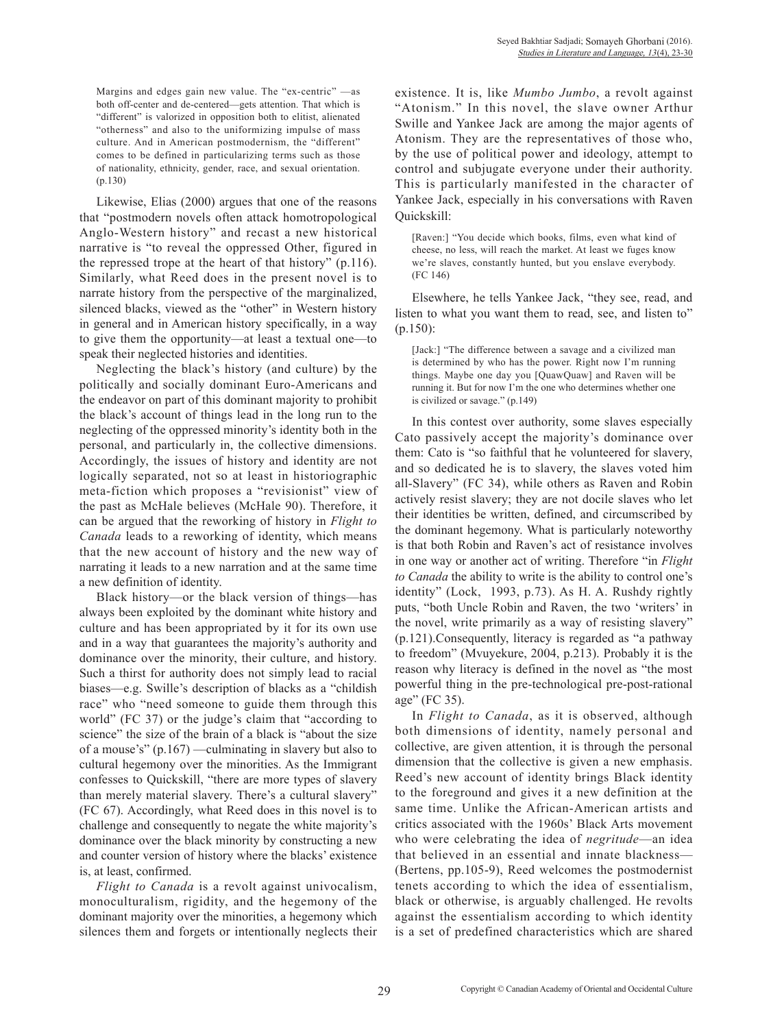Margins and edges gain new value. The "ex-centric" —as both off-center and de-centered—gets attention. That which is "different" is valorized in opposition both to elitist, alienated "otherness" and also to the uniformizing impulse of mass culture. And in American postmodernism, the "different" comes to be defined in particularizing terms such as those of nationality, ethnicity, gender, race, and sexual orientation. (p.130)

Likewise, Elias (2000) argues that one of the reasons that "postmodern novels often attack homotropological Anglo-Western history" and recast a new historical narrative is "to reveal the oppressed Other, figured in the repressed trope at the heart of that history" (p.116). Similarly, what Reed does in the present novel is to narrate history from the perspective of the marginalized, silenced blacks, viewed as the "other" in Western history in general and in American history specifically, in a way to give them the opportunity—at least a textual one—to speak their neglected histories and identities.

Neglecting the black's history (and culture) by the politically and socially dominant Euro-Americans and the endeavor on part of this dominant majority to prohibit the black's account of things lead in the long run to the neglecting of the oppressed minority's identity both in the personal, and particularly in, the collective dimensions. Accordingly, the issues of history and identity are not logically separated, not so at least in historiographic meta-fiction which proposes a "revisionist" view of the past as McHale believes (McHale 90). Therefore, it can be argued that the reworking of history in *Flight to Canada* leads to a reworking of identity, which means that the new account of history and the new way of narrating it leads to a new narration and at the same time a new definition of identity.

Black history—or the black version of things—has always been exploited by the dominant white history and culture and has been appropriated by it for its own use and in a way that guarantees the majority's authority and dominance over the minority, their culture, and history. Such a thirst for authority does not simply lead to racial biases—e.g. Swille's description of blacks as a "childish race" who "need someone to guide them through this world" (FC 37) or the judge's claim that "according to science" the size of the brain of a black is "about the size of a mouse's" (p.167) —culminating in slavery but also to cultural hegemony over the minorities. As the Immigrant confesses to Quickskill, "there are more types of slavery than merely material slavery. There's a cultural slavery" (FC 67). Accordingly, what Reed does in this novel is to challenge and consequently to negate the white majority's dominance over the black minority by constructing a new and counter version of history where the blacks' existence is, at least, confirmed.

*Flight to Canada* is a revolt against univocalism, monoculturalism, rigidity, and the hegemony of the dominant majority over the minorities, a hegemony which silences them and forgets or intentionally neglects their existence. It is, like *Mumbo Jumbo*, a revolt against "Atonism." In this novel, the slave owner Arthur Swille and Yankee Jack are among the major agents of Atonism. They are the representatives of those who, by the use of political power and ideology, attempt to control and subjugate everyone under their authority. This is particularly manifested in the character of Yankee Jack, especially in his conversations with Raven Quickskill:

[Raven:] "You decide which books, films, even what kind of cheese, no less, will reach the market. At least we fuges know we're slaves, constantly hunted, but you enslave everybody. (FC 146)

Elsewhere, he tells Yankee Jack, "they see, read, and listen to what you want them to read, see, and listen to" (p.150):

[Jack:] "The difference between a savage and a civilized man is determined by who has the power. Right now I'm running things. Maybe one day you [QuawQuaw] and Raven will be running it. But for now I'm the one who determines whether one is civilized or savage." (p.149)

In this contest over authority, some slaves especially Cato passively accept the majority's dominance over them: Cato is "so faithful that he volunteered for slavery, and so dedicated he is to slavery, the slaves voted him all-Slavery" (FC 34), while others as Raven and Robin actively resist slavery; they are not docile slaves who let their identities be written, defined, and circumscribed by the dominant hegemony. What is particularly noteworthy is that both Robin and Raven's act of resistance involves in one way or another act of writing. Therefore "in *Flight to Canada* the ability to write is the ability to control one's identity" (Lock, 1993, p.73). As H. A. Rushdy rightly puts, "both Uncle Robin and Raven, the two 'writers' in the novel, write primarily as a way of resisting slavery" (p.121).Consequently, literacy is regarded as "a pathway to freedom" (Mvuyekure, 2004, p.213). Probably it is the reason why literacy is defined in the novel as "the most powerful thing in the pre-technological pre-post-rational age" (FC 35).

In *Flight to Canada*, as it is observed, although both dimensions of identity, namely personal and collective, are given attention, it is through the personal dimension that the collective is given a new emphasis. Reed's new account of identity brings Black identity to the foreground and gives it a new definition at the same time. Unlike the African-American artists and critics associated with the 1960s' Black Arts movement who were celebrating the idea of *negritude*—an idea that believed in an essential and innate blackness— (Bertens, pp.105-9), Reed welcomes the postmodernist tenets according to which the idea of essentialism, black or otherwise, is arguably challenged. He revolts against the essentialism according to which identity is a set of predefined characteristics which are shared